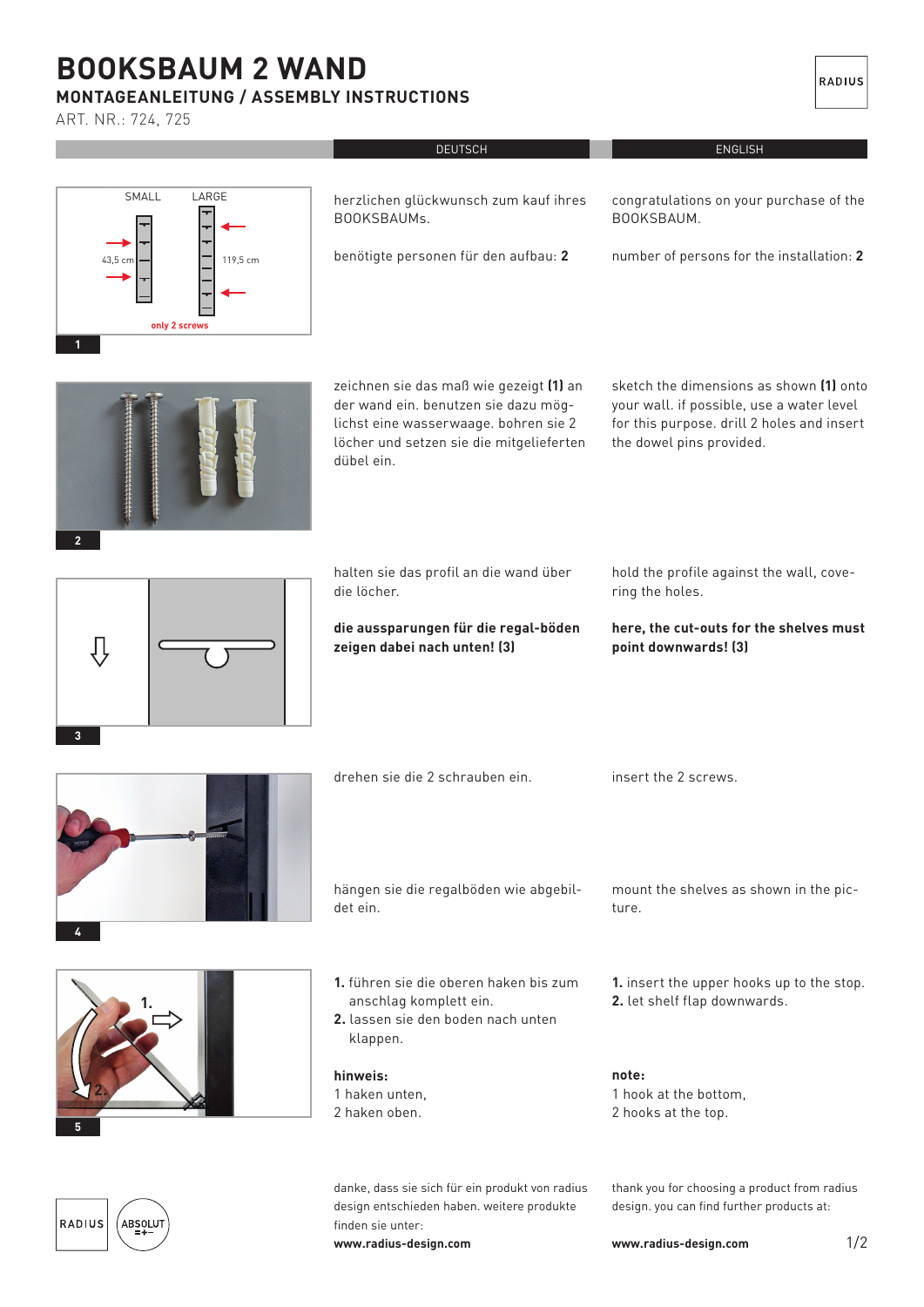## **booksbaum 2 wand**

## **Montageanleitung / Assembly instructions**

ARt. NR.: 724, 725

|                                                             | <b>DEUTSCH</b>                                                                                                                                                                     | <b>ENGLISH</b>                                                                                                                                                 |
|-------------------------------------------------------------|------------------------------------------------------------------------------------------------------------------------------------------------------------------------------------|----------------------------------------------------------------------------------------------------------------------------------------------------------------|
| SMALL<br>LARGE<br>119,5 cm<br>43,5 cm<br>only 2 screws<br>1 | herzlichen glückwunsch zum kauf ihres<br>BOOKSBAUMs.<br>benötigte personen für den aufbau: 2                                                                                       | congratulations on your purchase of the<br>BOOKSBAUM.<br>number of persons for the installation: 2                                                             |
| $\overline{2}$                                              | zeichnen sie das maß wie gezeigt (1) an<br>der wand ein. benutzen sie dazu mög-<br>lichst eine wasserwaage. bohren sie 2<br>löcher und setzen sie die mitgelieferten<br>dübel ein. | sketch the dimensions as shown (1) onto<br>your wall. if possible, use a water level<br>for this purpose. drill 2 holes and insert<br>the dowel pins provided. |
|                                                             | halten sie das profil an die wand über<br>die löcher.                                                                                                                              | hold the profile against the wall, cove-<br>ring the holes.                                                                                                    |
| $\mathbf{3}$                                                | die aussparungen für die regal-böden<br>zeigen dabei nach unten! (3)                                                                                                               | here, the cut-outs for the shelves must<br>point downwards! (3)                                                                                                |
|                                                             | drehen sie die 2 schrauben ein.                                                                                                                                                    | insert the 2 screws.                                                                                                                                           |
|                                                             | hängen sie die regalböden wie abgebil-<br>det ein.                                                                                                                                 | mount the shelves as shown in the pic-<br>ture.                                                                                                                |
|                                                             | 1. führen sie die oberen haken bis zum<br>anschlag komplett ein.<br>2. lassen sie den boden nach unten<br>klappen.                                                                 | 1. insert the upper hooks up to the stop.<br>2. let shelf flap downwards.                                                                                      |
|                                                             | hinweis:<br>1 haken unten,<br>2 haken oben.                                                                                                                                        | note:<br>1 hook at the bottom,<br>2 hooks at the top.                                                                                                          |
| RADIUS<br>ABSOLUT                                           | danke, dass sie sich für ein produkt von radius<br>design entschieden haben. weitere produkte<br>finden sie unter:<br>www.radius-design.com                                        | thank you for choosing a product from radius<br>design. you can find further products at:<br>1/2<br>www.radius-design.com                                      |

RADIUS